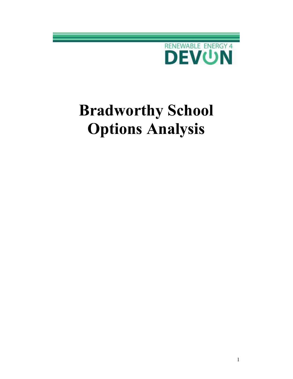

# Bradworthy School Options Analysis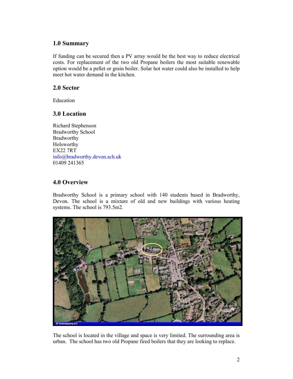## 1.0 Summary

If funding can be secured then a PV array would be the best way to reduce electrical costs. For replacement of the two old Propane boilers the most suitable renewable option would be a pellet or grain boiler. Solar hot water could also be installed to help meet hot water demand in the kitchen.

## 2.0 Sector

Education

# 3.0 Location

Richard Stephenson Bradworthy School Bradworthy Holsworthy EX22 7RT info@bradworthy.devon.sch.uk 01409 241365

# 4.0 Overview

Bradworthy School is a primary school with 140 students based in Bradworthy, Devon. The school is a mixture of old and new buildings with various heating systems. The school is 793.5m2.



The school is located in the village and space is very limited. The surrounding area is urban. The school has two old Propane fired boilers that they are looking to replace.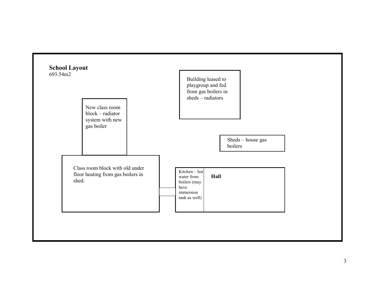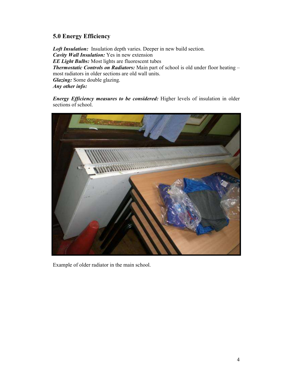# 5.0 Energy Efficiency

Loft Insulation: Insulation depth varies. Deeper in new build section. Cavity Wall Insulation: Yes in new extension **EE Light Bulbs:** Most lights are fluorescent tubes Thermostatic Controls on Radiators: Main part of school is old under floor heating – most radiators in older sections are old wall units. Glazing: Some double glazing. Any other info:

Energy Efficiency measures to be considered: Higher levels of insulation in older sections of school.



Example of older radiator in the main school.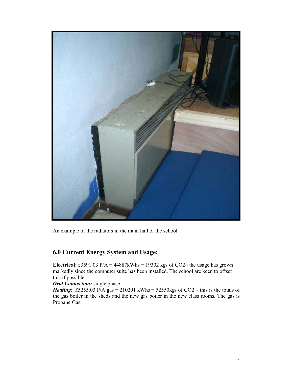

An example of the radiators in the main hall of the school.

# 6.0 Current Energy System and Usage:

Electrical: £3591.03 P/A =  $44887$ kWhs = 19302 kgs of CO2– the usage has grown markedly since the computer suite has been installed. The school are keen to offset this if possible.

#### Grid Connection: single phase

*Heating*: £5255.03 P/A gas = 210201 kWhs =  $52550$ kgs of CO2 – this is the totals of the gas boiler in the sheds and the new gas boiler in the new class rooms. The gas is Propane Gas.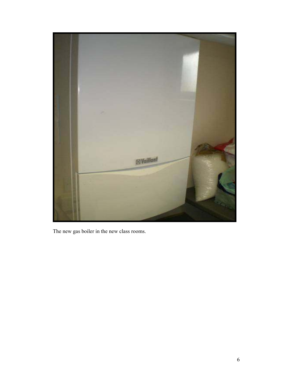

The new gas boiler in the new class rooms.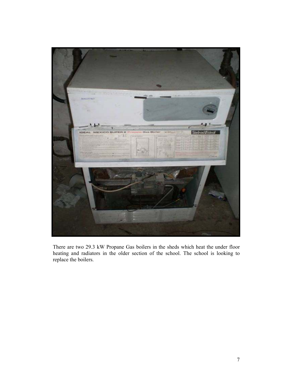

There are two 29.3 kW Propane Gas boilers in the sheds which heat the under floor heating and radiators in the older section of the school. The school is looking to replace the boilers.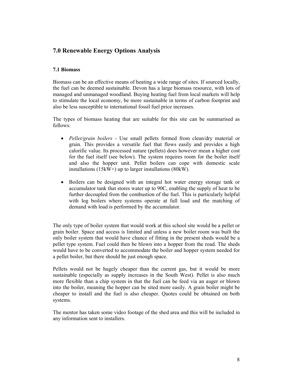# 7.0 Renewable Energy Options Analysis

#### 7.1 Biomass

Biomass can be an effective means of heating a wide range of sites. If sourced locally, the fuel can be deemed sustainable. Devon has a large biomass resource, with lots of managed and unmanaged woodland. Buying heating fuel from local markets will help to stimulate the local economy, be more sustainable in terms of carbon footprint and also be less susceptible to international fossil fuel price increases.

The types of biomass heating that are suitable for this site can be summarised as follows:

- Pellet/grain boilers Use small pellets formed from clean/dry material or grain. This provides a versatile fuel that flows easily and provides a high calorific value. Its processed nature (pellets) does however mean a higher cost for the fuel itself (see below). The system requires room for the boiler itself and also the hopper unit. Pellet boilers can cope with domestic scale installations (15kW+) up to larger installations (80kW).
- Boilers can be designed with an integral hot water energy storage tank or accumulator tank that stores water up to 90C, enabling the supply of heat to be further decoupled from the combustion of the fuel. This is particularly helpful with log boilers where systems operate at full load and the matching of demand with load is performed by the accumulator.

The only type of boiler system that would work at this school site would be a pellet or grain boiler. Space and access is limited and unless a new boiler room was built the only boiler system that would have chance of fitting in the present sheds would be a pellet type system. Fuel could then be blown into a hopper from the road. The sheds would have to be converted to accommodate the boiler and hopper system needed for a pellet boiler, but there should be just enough space.

Pellets would not be hugely cheaper than the current gas, but it would be more sustainable (especially as supply increases in the South West). Pellet is also much more flexible than a chip system in that the fuel can be feed via an auger or blown into the boiler, meaning the hopper can be sited more easily. A grain boiler might be cheaper to install and the fuel is also cheaper. Quotes could be obtained on both systems.

The mentor has taken some video footage of the shed area and this will be included in any information sent to installers.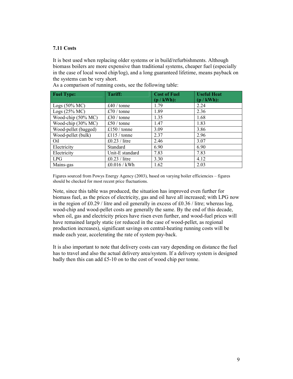#### 7.11 Costs

It is best used when replacing older systems or in build/refurbishments. Although biomass boilers are more expensive than traditional systems, cheaper fuel (especially in the case of local wood chip/log), and a long guaranteed lifetime, means payback on the systems can be very short.

| <b>Fuel Type:</b>        | <b>Tariff:</b>  | <b>Cost of Fuel</b><br>(p / kWh): | <b>Useful Heat</b><br>$(p / kWh)$ : |
|--------------------------|-----------------|-----------------------------------|-------------------------------------|
| Logs $(50\% \text{ MC})$ | £40 / tonne     | 1.79                              | 2.24                                |
| Logs $(25%$ MC $)$       | £70 / tonne     | 1.89                              | 2.36                                |
| Wood-chip (50% MC)       | £30 / tonne     | 1.35                              | 1.68                                |
| Wood-chip (30% MC)       | £50 / tonne     | 1.47                              | 1.83                                |
| Wood-pellet (bagged)     | £150 / tonne    | 3.09                              | 3.86                                |
| Wood-pellet (bulk)       | £115 / tonne    | 2.37                              | 2.96                                |
| Oil                      | £0.23 / litre   | 2.46                              | 3.07                                |
| Electricity              | Standard        | 6.90                              | 6.90                                |
| Electricity              | Unit-E standard | 7.83                              | 7.83                                |
| <b>LPG</b>               | £0.23 / litre   | 3.30                              | 4.12                                |
| Mains-gas                | £0.016 / kWh    | 1.62                              | 2.03                                |

As a comparison of running costs, see the following table:

Figures sourced from Powys Energy Agency (2003), based on varying boiler efficiencies – figures should be checked for most recent price fluctuations.

Note, since this table was produced, the situation has improved even further for biomass fuel, as the prices of electricity, gas and oil have all increased; with LPG now in the region of  $\text{\pounds}0.29$  / litre and oil generally in excess of  $\text{\pounds}0.36$  / litre; whereas log, wood-chip and wood-pellet costs are generally the same. By the end of this decade, when oil, gas and electricity prices have risen even further, and wood-fuel prices will have remained largely static (or reduced in the case of wood-pellet, as regional production increases), significant savings on central-heating running costs will be made each year, accelerating the rate of system pay-back.

It is also important to note that delivery costs can vary depending on distance the fuel has to travel and also the actual delivery area/system. If a delivery system is designed badly then this can add £5-10 on to the cost of wood chip per tonne.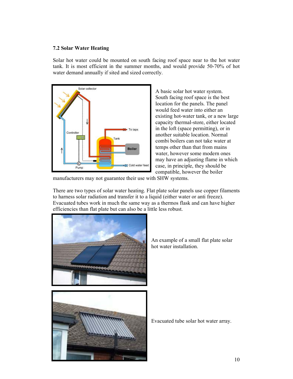#### 7.2 Solar Water Heating

Solar hot water could be mounted on south facing roof space near to the hot water tank. It is most efficient in the summer months, and would provide 50-70% of hot water demand annually if sited and sized correctly.



A basic solar hot water system. South facing roof space is the best location for the panels. The panel would feed water into either an existing hot-water tank, or a new large capacity thermal-store, either located in the loft (space permitting), or in another suitable location. Normal combi boilers can not take water at temps other than that from mains water, however some modern ones may have an adjusting flame in which case, in principle, they should be compatible, however the boiler

manufacturers may not guarantee their use with SHW systems.

There are two types of solar water heating. Flat plate solar panels use copper filaments to harness solar radiation and transfer it to a liquid (either water or anti freeze). Evacuated tubes work in much the same way as a thermos flask and can have higher efficiencies than flat plate but can also be a little less robust.



An example of a small flat plate solar hot water installation.



Evacuated tube solar hot water array.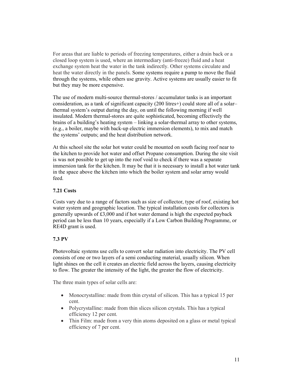For areas that are liable to periods of freezing temperatures, either a drain back or a closed loop system is used, where an intermediary (anti-freeze) fluid and a heat exchange system heat the water in the tank indirectly. Other systems circulate and heat the water directly in the panels. Some systems require a pump to move the fluid through the systems, while others use gravity. Active systems are usually easier to fit but they may be more expensive.

The use of modern multi-source thermal-stores / accumulator tanks is an important consideration, as a tank of significant capacity (200 litres+) could store all of a solar– thermal system's output during the day, on until the following morning if well insulated. Modern thermal-stores are quite sophisticated, becoming effectively the brains of a building's heating system – linking a solar-thermal array to other systems, (e.g., a boiler, maybe with back-up electric immersion elements), to mix and match the systems' outputs; and the heat distribution network.

At this school site the solar hot water could be mounted on south facing roof near to the kitchen to provide hot water and offset Propane consumption. During the site visit is was not possible to get up into the roof void to check if there was a separate immersion tank for the kitchen. It may be that it is necessary to install a hot water tank in the space above the kitchen into which the boiler system and solar array would feed.

#### 7.21 Costs

Costs vary due to a range of factors such as size of collector, type of roof, existing hot water system and geographic location. The typical installation costs for collectors is generally upwards of £3,000 and if hot water demand is high the expected payback period can be less than 10 years, especially if a Low Carbon Building Programme, or RE4D grant is used.

#### 7.3 PV

Photovoltaic systems use cells to convert solar radiation into electricity. The PV cell consists of one or two layers of a semi conducting material, usually silicon. When light shines on the cell it creates an electric field across the layers, causing electricity to flow. The greater the intensity of the light, the greater the flow of electricity.

The three main types of solar cells are:

- Monocrystalline: made from thin crystal of silicon. This has a typical 15 per cent.
- Polycrystalline: made from thin slices silicon crystals. This has a typical efficiency 12 per cent.
- Thin Film: made from a very thin atoms deposited on a glass or metal typical efficiency of 7 per cent.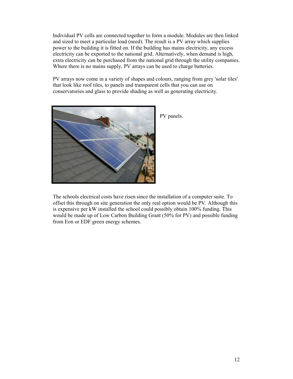Individual PV cells are connected together to form a module. Modules are then linked and sized to meet a particular load (need). The result is a PV array which supplies power to the building it is fitted on. If the building has mains electricity, any excess electricity can be exported to the national grid. Alternatively, when demand is high, extra electricity can be purchased from the national grid through the utility companies. Where there is no mains supply, PV arrays can be used to charge batteries.

PV arrays now come in a variety of shapes and colours, ranging from grey 'solar tiles' that look like roof tiles, to panels and transparent cells that you can use on conservatories and glass to provide shading as well as generating electricity.



PV panels.

The schools electrical costs have risen since the installation of a computer suite. To offset this through on site generation the only real option would be PV. Although this is expensive per kW installed the school could possibly obtain 100% funding. This would be made up of Low Carbon Building Grant (50% for PV) and possible funding from Eon or EDF green energy schemes.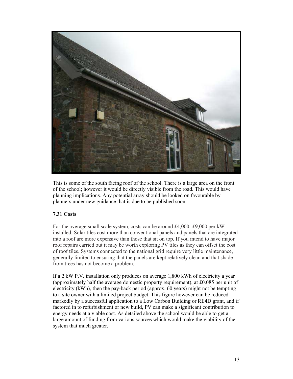

This is some of the south facing roof of the school. There is a large area on the front of the school; however it would be directly visible from the road. This would have planning implications. Any potential array should be looked on favourable by planners under new guidance that is due to be published soon.

#### 7.31 Costs

For the average small scale system, costs can be around £4,000- £9,000 per kW installed. Solar tiles cost more than conventional panels and panels that are integrated into a roof are more expensive than those that sit on top. If you intend to have major roof repairs carried out it may be worth exploring PV tiles as they can offset the cost of roof tiles. Systems connected to the national grid require very little maintenance, generally limited to ensuring that the panels are kept relatively clean and that shade from trees has not become a problem.

If a 2 kW P.V. installation only produces on average 1,800 kWh of electricity a year (approximately half the average domestic property requirement), at £0.085 per unit of electricity (kWh), then the pay-back period (approx. 60 years) might not be tempting to a site owner with a limited project budget. This figure however can be reduced markedly by a successful application to a Low Carbon Building or RE4D grant, and if factored in to refurbishment or new build, PV can make a significant contribution to energy needs at a viable cost. As detailed above the school would be able to get a large amount of funding from various sources which would make the viability of the system that much greater.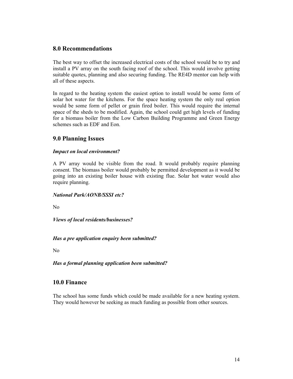## 8.0 Recommendations

The best way to offset the increased electrical costs of the school would be to try and install a PV array on the south facing roof of the school. This would involve getting suitable quotes, planning and also securing funding. The RE4D mentor can help with all of these aspects.

In regard to the heating system the easiest option to install would be some form of solar hot water for the kitchens. For the space heating system the only real option would be some form of pellet or grain fired boiler. This would require the internal space of the sheds to be modified. Again, the school could get high levels of funding for a biomass boiler from the Low Carbon Building Programme and Green Energy schemes such as EDF and Eon.

## 9.0 Planning Issues

#### Impact on local environment?

A PV array would be visible from the road. It would probably require planning consent. The biomass boiler would probably be permitted development as it would be going into an existing boiler house with existing flue. Solar hot water would also require planning.

#### National Park/AONB/SSSI etc?

No

Views of local residents/businesses?

#### Has a pre application enquiry been submitted?

No

Has a formal planning application been submitted?

## 10.0 Finance

The school has some funds which could be made available for a new heating system. They would however be seeking as much funding as possible from other sources.